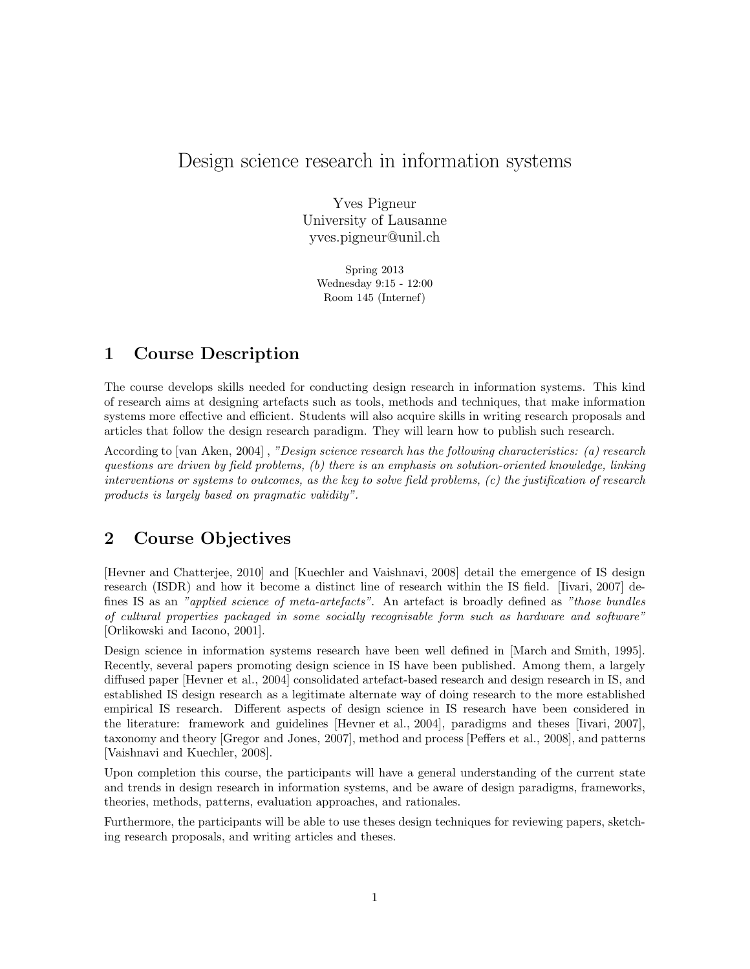# Design science research in information systems

Yves Pigneur University of Lausanne yves.pigneur@unil.ch

> Spring 2013 Wednesday 9:15 - 12:00 Room 145 (Internef)

## 1 Course Description

The course develops skills needed for conducting design research in information systems. This kind of research aims at designing artefacts such as tools, methods and techniques, that make information systems more effective and efficient. Students will also acquire skills in writing research proposals and articles that follow the design research paradigm. They will learn how to publish such research.

According to [van Aken, 2004] , "Design science research has the following characteristics: (a) research questions are driven by field problems, (b) there is an emphasis on solution-oriented knowledge, linking interventions or systems to outcomes, as the key to solve field problems, (c) the justification of research products is largely based on pragmatic validity".

## 2 Course Objectives

[Hevner and Chatterjee, 2010] and [Kuechler and Vaishnavi, 2008] detail the emergence of IS design research (ISDR) and how it become a distinct line of research within the IS field. [Iivari, 2007] defines IS as an "applied science of meta-artefacts". An artefact is broadly defined as "those bundles of cultural properties packaged in some socially recognisable form such as hardware and software" [Orlikowski and Iacono, 2001].

Design science in information systems research have been well defined in [March and Smith, 1995]. Recently, several papers promoting design science in IS have been published. Among them, a largely diffused paper [Hevner et al., 2004] consolidated artefact-based research and design research in IS, and established IS design research as a legitimate alternate way of doing research to the more established empirical IS research. Different aspects of design science in IS research have been considered in the literature: framework and guidelines [Hevner et al., 2004], paradigms and theses [Iivari, 2007], taxonomy and theory [Gregor and Jones, 2007], method and process [Peffers et al., 2008], and patterns [Vaishnavi and Kuechler, 2008].

Upon completion this course, the participants will have a general understanding of the current state and trends in design research in information systems, and be aware of design paradigms, frameworks, theories, methods, patterns, evaluation approaches, and rationales.

Furthermore, the participants will be able to use theses design techniques for reviewing papers, sketching research proposals, and writing articles and theses.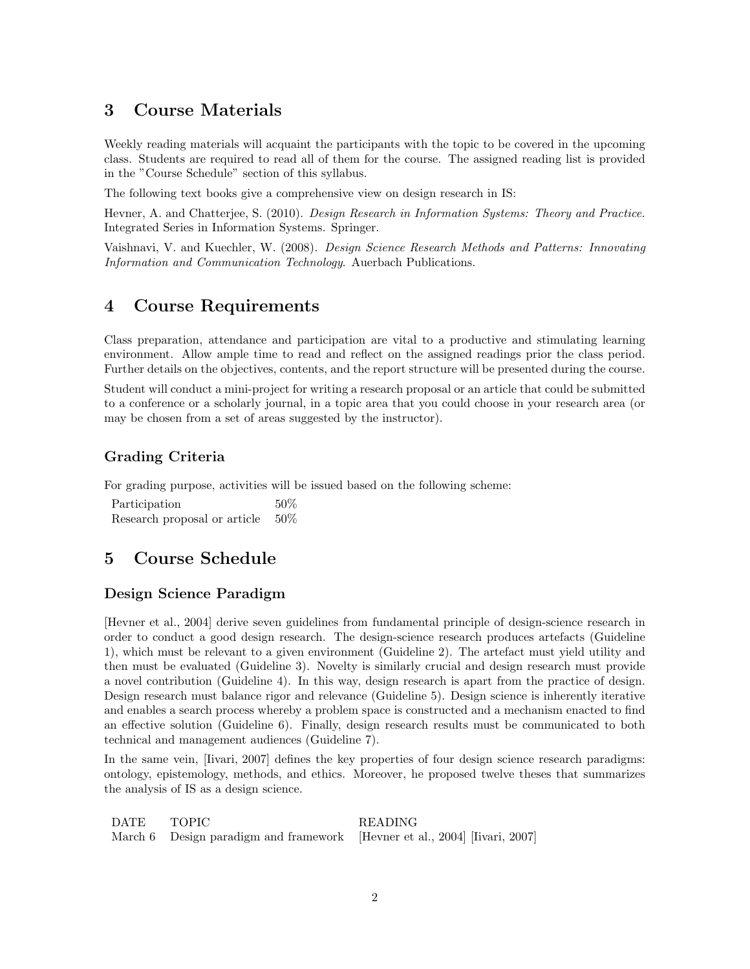## 3 Course Materials

Weekly reading materials will acquaint the participants with the topic to be covered in the upcoming class. Students are required to read all of them for the course. The assigned reading list is provided in the "Course Schedule" section of this syllabus.

The following text books give a comprehensive view on design research in IS:

Hevner, A. and Chatterjee, S. (2010). Design Research in Information Systems: Theory and Practice. Integrated Series in Information Systems. Springer.

Vaishnavi, V. and Kuechler, W. (2008). Design Science Research Methods and Patterns: Innovating Information and Communication Technology. Auerbach Publications.

## 4 Course Requirements

Class preparation, attendance and participation are vital to a productive and stimulating learning environment. Allow ample time to read and reflect on the assigned readings prior the class period. Further details on the objectives, contents, and the report structure will be presented during the course.

Student will conduct a mini-project for writing a research proposal or an article that could be submitted to a conference or a scholarly journal, in a topic area that you could choose in your research area (or may be chosen from a set of areas suggested by the instructor).

### Grading Criteria

For grading purpose, activities will be issued based on the following scheme:

Participation 50% Research proposal or article 50%

## 5 Course Schedule

### Design Science Paradigm

[Hevner et al., 2004] derive seven guidelines from fundamental principle of design-science research in order to conduct a good design research. The design-science research produces artefacts (Guideline 1), which must be relevant to a given environment (Guideline 2). The artefact must yield utility and then must be evaluated (Guideline 3). Novelty is similarly crucial and design research must provide a novel contribution (Guideline 4). In this way, design research is apart from the practice of design. Design research must balance rigor and relevance (Guideline 5). Design science is inherently iterative and enables a search process whereby a problem space is constructed and a mechanism enacted to find an effective solution (Guideline 6). Finally, design research results must be communicated to both technical and management audiences (Guideline 7).

In the same vein, [Iivari, 2007] defines the key properties of four design science research paradigms: ontology, epistemology, methods, and ethics. Moreover, he proposed twelve theses that summarizes the analysis of IS as a design science.

| DATE TOPIC |                                                                            | <b>READING</b> |
|------------|----------------------------------------------------------------------------|----------------|
|            | March 6 Design paradigm and framework [Hevner et al., 2004] [Iivari, 2007] |                |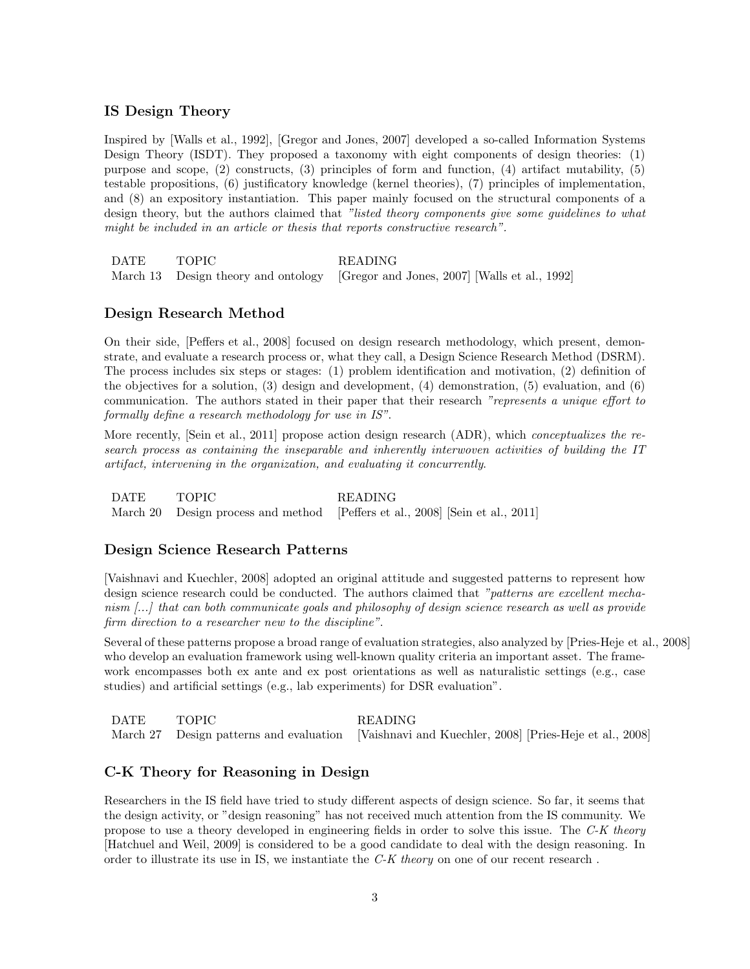#### IS Design Theory

Inspired by [Walls et al., 1992], [Gregor and Jones, 2007] developed a so-called Information Systems Design Theory (ISDT). They proposed a taxonomy with eight components of design theories: (1) purpose and scope, (2) constructs, (3) principles of form and function, (4) artifact mutability, (5) testable propositions, (6) justificatory knowledge (kernel theories), (7) principles of implementation, and (8) an expository instantiation. This paper mainly focused on the structural components of a design theory, but the authors claimed that "listed theory components give some guidelines to what might be included in an article or thesis that reports constructive research".

DATE TOPIC READING March 13 Design theory and ontology [Gregor and Jones, 2007] [Walls et al., 1992]

#### Design Research Method

On their side, [Peffers et al., 2008] focused on design research methodology, which present, demonstrate, and evaluate a research process or, what they call, a Design Science Research Method (DSRM). The process includes six steps or stages: (1) problem identification and motivation, (2) definition of the objectives for a solution, (3) design and development, (4) demonstration, (5) evaluation, and (6) communication. The authors stated in their paper that their research "represents a unique effort to formally define a research methodology for use in IS".

More recently, [Sein et al., 2011] propose action design research (ADR), which *conceptualizes the re*search process as containing the inseparable and inherently interwoven activities of building the IT artifact, intervening in the organization, and evaluating it concurrently.

DATE TOPIC READING March 20 Design process and method [Peffers et al., 2008] [Sein et al., 2011]

#### Design Science Research Patterns

[Vaishnavi and Kuechler, 2008] adopted an original attitude and suggested patterns to represent how design science research could be conducted. The authors claimed that "*patterns are excellent mecha*nism [...] that can both communicate goals and philosophy of design science research as well as provide firm direction to a researcher new to the discipline".

Several of these patterns propose a broad range of evaluation strategies, also analyzed by [Pries-Heje et al., 2008] who develop an evaluation framework using well-known quality criteria an important asset. The framework encompasses both ex ante and ex post orientations as well as naturalistic settings (e.g., case studies) and artificial settings (e.g., lab experiments) for DSR evaluation".

DATE TOPIC READING March 27 Design patterns and evaluation [Vaishnavi and Kuechler, 2008] [Pries-Heje et al., 2008]

#### C-K Theory for Reasoning in Design

Researchers in the IS field have tried to study different aspects of design science. So far, it seems that the design activity, or "design reasoning" has not received much attention from the IS community. We propose to use a theory developed in engineering fields in order to solve this issue. The C-K theory [Hatchuel and Weil, 2009] is considered to be a good candidate to deal with the design reasoning. In order to illustrate its use in IS, we instantiate the C-K theory on one of our recent research .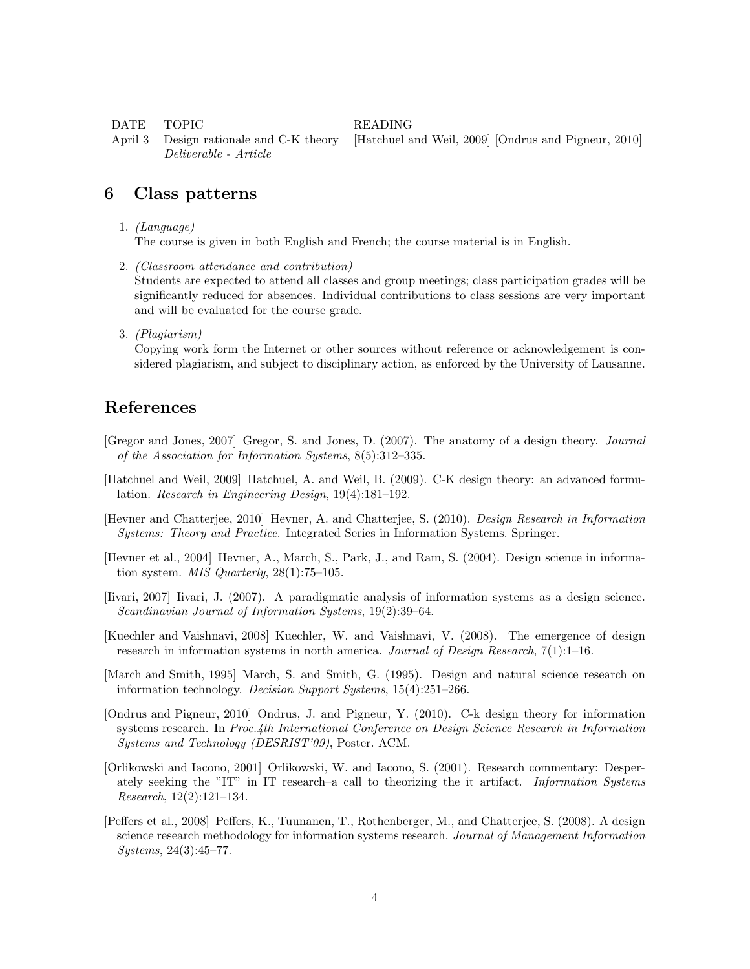DATE TOPIC READING

April 3 Design rationale and C-K theory [Hatchuel and Weil, 2009] [Ondrus and Pigneur, 2010] Deliverable - Article

### 6 Class patterns

1. (Language)

The course is given in both English and French; the course material is in English.

- 2. (Classroom attendance and contribution) Students are expected to attend all classes and group meetings; class participation grades will be significantly reduced for absences. Individual contributions to class sessions are very important and will be evaluated for the course grade.
- 3. (Plagiarism)

Copying work form the Internet or other sources without reference or acknowledgement is considered plagiarism, and subject to disciplinary action, as enforced by the University of Lausanne.

### References

- [Gregor and Jones, 2007] Gregor, S. and Jones, D. (2007). The anatomy of a design theory. Journal of the Association for Information Systems, 8(5):312–335.
- [Hatchuel and Weil, 2009] Hatchuel, A. and Weil, B. (2009). C-K design theory: an advanced formulation. Research in Engineering Design, 19(4):181–192.
- [Hevner and Chatterjee, 2010] Hevner, A. and Chatterjee, S. (2010). Design Research in Information Systems: Theory and Practice. Integrated Series in Information Systems. Springer.
- [Hevner et al., 2004] Hevner, A., March, S., Park, J., and Ram, S. (2004). Design science in information system.  $MIS$  Quarterly, 28(1):75–105.
- [Iivari, 2007] Iivari, J. (2007). A paradigmatic analysis of information systems as a design science. Scandinavian Journal of Information Systems, 19(2):39–64.
- [Kuechler and Vaishnavi, 2008] Kuechler, W. and Vaishnavi, V. (2008). The emergence of design research in information systems in north america. Journal of Design Research,  $7(1):1-16$ .
- [March and Smith, 1995] March, S. and Smith, G. (1995). Design and natural science research on information technology. Decision Support Systems, 15(4):251–266.
- [Ondrus and Pigneur, 2010] Ondrus, J. and Pigneur, Y. (2010). C-k design theory for information systems research. In Proc.4th International Conference on Design Science Research in Information Systems and Technology (DESRIST'09), Poster. ACM.
- [Orlikowski and Iacono, 2001] Orlikowski, W. and Iacono, S. (2001). Research commentary: Desperately seeking the "IT" in IT research–a call to theorizing the it artifact. Information Systems Research, 12(2):121–134.
- [Peffers et al., 2008] Peffers, K., Tuunanen, T., Rothenberger, M., and Chatterjee, S. (2008). A design science research methodology for information systems research. Journal of Management Information Systems, 24(3):45–77.